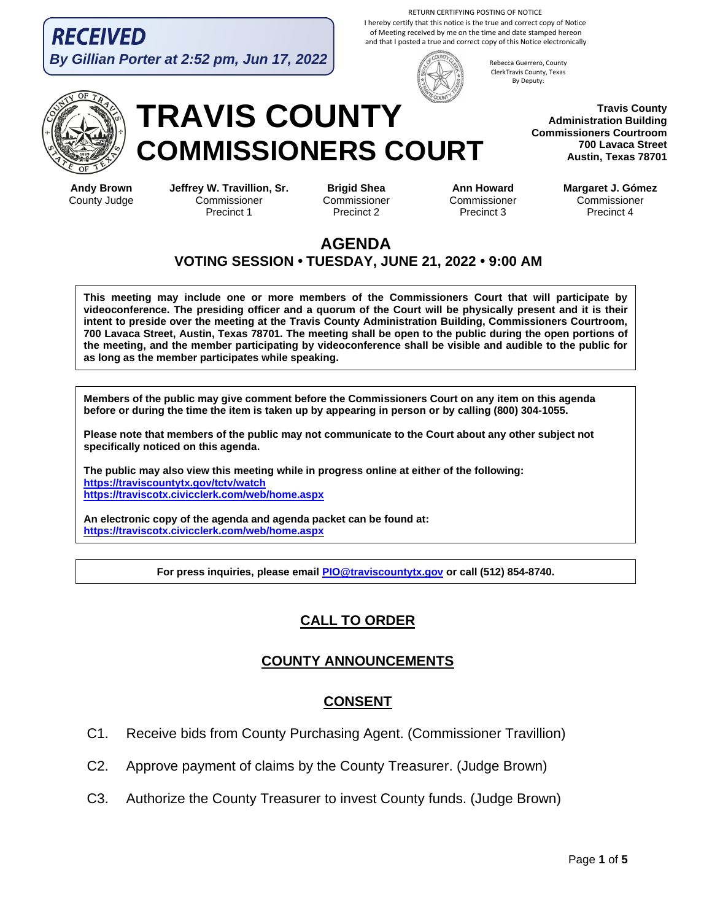RECEIVED **By Gillian Porter at 2:52 pm, Jun 17, 2022**

RETURN CERTIFYING POSTING OF NOTICE I hereby certify that this notice is the true and correct copy of Notice of Meeting received by me on the time and date stamped hereon and that I posted a true and correct copy of this Notice electronically



Rebecca Guerrero, County ClerkTravis County, Texas By Deputy:

> **Travis County Administration Building Commissioners Courtroom 700 Lavaca Street Austin, Texas 78701**

**Andy Brown** County Judge

# **TRAVIS COUNTY COMMISSIONERS COURT**

**Jeffrey W. Travillion, Sr. Commissioner** Precinct 1

**Brigid Shea Commissioner** Precinct 2

**Ann Howard Commissioner** Precinct 3

**Margaret J. Gómez** Commissioner Precinct 4

#### **AGENDA VOTING SESSION • TUESDAY, JUNE 21, 2022 • 9:00 AM**

**This meeting may include one or more members of the Commissioners Court that will participate by videoconference. The presiding officer and a quorum of the Court will be physically present and it is their intent to preside over the meeting at the Travis County Administration Building, Commissioners Courtroom, 700 Lavaca Street, Austin, Texas 78701. The meeting shall be open to the public during the open portions of the meeting, and the member participating by videoconference shall be visible and audible to the public for as long as the member participates while speaking.**

**Members of the public may give comment before the Commissioners Court on any item on this agenda before or during the time the item is taken up by appearing in person or by calling (800) 304-1055.**

**Please note that members of the public may not communicate to the Court about any other subject not specifically noticed on this agenda.**

**The public may also view this meeting while in progress online at either of the following: https://traviscountytx.gov/tctv/watch https://traviscotx.civicclerk.com/web/home.aspx**

**An electronic copy of the agenda and agenda packet can be found at: https://traviscotx.civicclerk.com/web/home.aspx**

**For press inquiries, please email PIO@traviscountytx.gov or call (512) 854-8740.**

# **CALL TO ORDER**

# **COUNTY ANNOUNCEMENTS**

## **CONSENT**

- C1. Receive bids from County Purchasing Agent. (Commissioner Travillion)
- C2. Approve payment of claims by the County Treasurer. (Judge Brown)
- C3. Authorize the County Treasurer to invest County funds. (Judge Brown)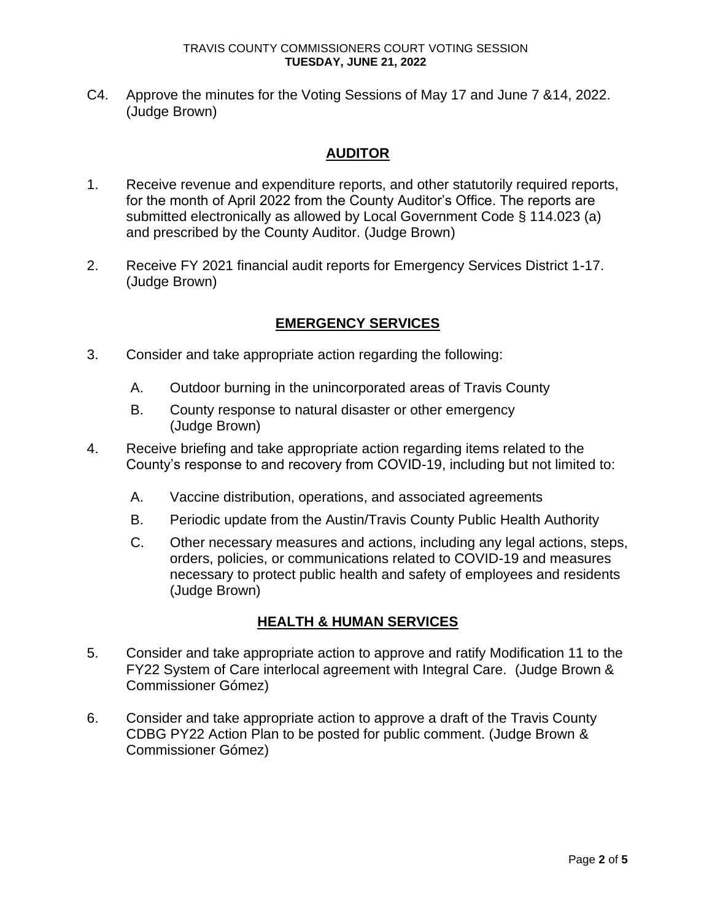C4. Approve the minutes for the Voting Sessions of May 17 and June 7 &14, 2022. (Judge Brown)

## **AUDITOR**

- 1. Receive revenue and expenditure reports, and other statutorily required reports, for the month of April 2022 from the County Auditor's Office. The reports are submitted electronically as allowed by Local Government Code § 114.023 (a) and prescribed by the County Auditor. (Judge Brown)
- 2. Receive FY 2021 financial audit reports for Emergency Services District 1-17. (Judge Brown)

#### **EMERGENCY SERVICES**

- 3. Consider and take appropriate action regarding the following:
	- A. Outdoor burning in the unincorporated areas of Travis County
	- B. County response to natural disaster or other emergency (Judge Brown)
- 4. Receive briefing and take appropriate action regarding items related to the County's response to and recovery from COVID-19, including but not limited to:
	- A. Vaccine distribution, operations, and associated agreements
	- B. Periodic update from the Austin/Travis County Public Health Authority
	- C. Other necessary measures and actions, including any legal actions, steps, orders, policies, or communications related to COVID-19 and measures necessary to protect public health and safety of employees and residents (Judge Brown)

#### **HEALTH & HUMAN SERVICES**

- 5. Consider and take appropriate action to approve and ratify Modification 11 to the FY22 System of Care interlocal agreement with Integral Care. (Judge Brown & Commissioner Gómez)
- 6. Consider and take appropriate action to approve a draft of the Travis County CDBG PY22 Action Plan to be posted for public comment. (Judge Brown & Commissioner Gómez)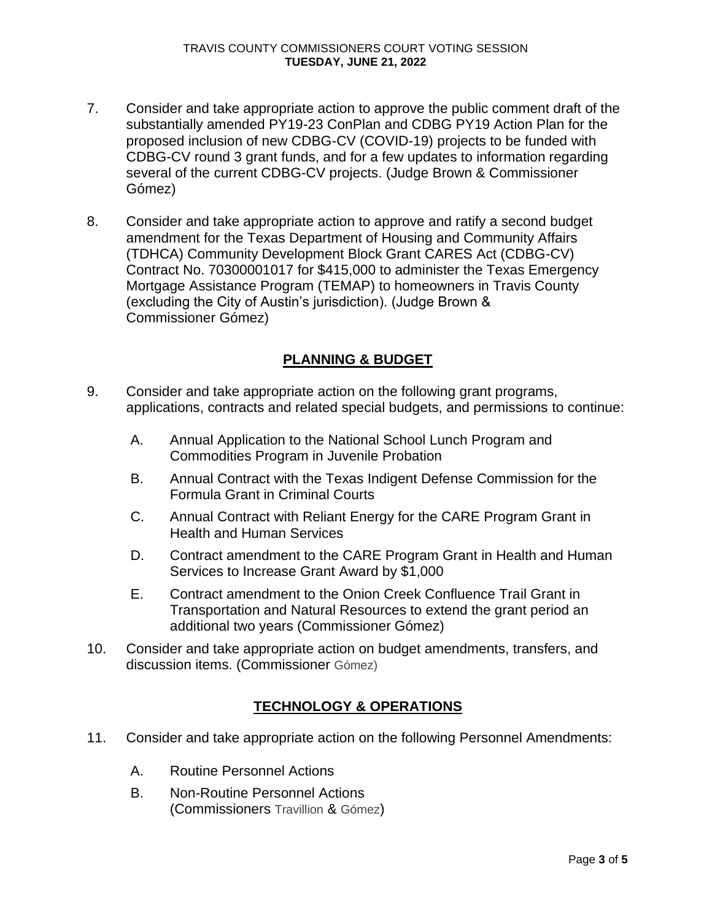- 7. Consider and take appropriate action to approve the public comment draft of the substantially amended PY19-23 ConPlan and CDBG PY19 Action Plan for the proposed inclusion of new CDBG-CV (COVID-19) projects to be funded with CDBG-CV round 3 grant funds, and for a few updates to information regarding several of the current CDBG-CV projects. (Judge Brown & Commissioner Gómez)
- 8. Consider and take appropriate action to approve and ratify a second budget amendment for the Texas Department of Housing and Community Affairs (TDHCA) Community Development Block Grant CARES Act (CDBG-CV) Contract No. 70300001017 for \$415,000 to administer the Texas Emergency Mortgage Assistance Program (TEMAP) to homeowners in Travis County (excluding the City of Austin's jurisdiction). (Judge Brown & Commissioner Gómez)

# **PLANNING & BUDGET**

- 9. Consider and take appropriate action on the following grant programs, applications, contracts and related special budgets, and permissions to continue:
	- A. Annual Application to the National School Lunch Program and Commodities Program in Juvenile Probation
	- B. Annual Contract with the Texas Indigent Defense Commission for the Formula Grant in Criminal Courts
	- C. Annual Contract with Reliant Energy for the CARE Program Grant in Health and Human Services
	- D. Contract amendment to the CARE Program Grant in Health and Human Services to Increase Grant Award by \$1,000
	- E. Contract amendment to the Onion Creek Confluence Trail Grant in Transportation and Natural Resources to extend the grant period an additional two years (Commissioner Gómez)
- 10. Consider and take appropriate action on budget amendments, transfers, and discussion items. (Commissioner Gómez)

## **TECHNOLOGY & OPERATIONS**

- 11. Consider and take appropriate action on the following Personnel Amendments:
	- A. Routine Personnel Actions
	- B. Non-Routine Personnel Actions (Commissioners Travillion & Gómez)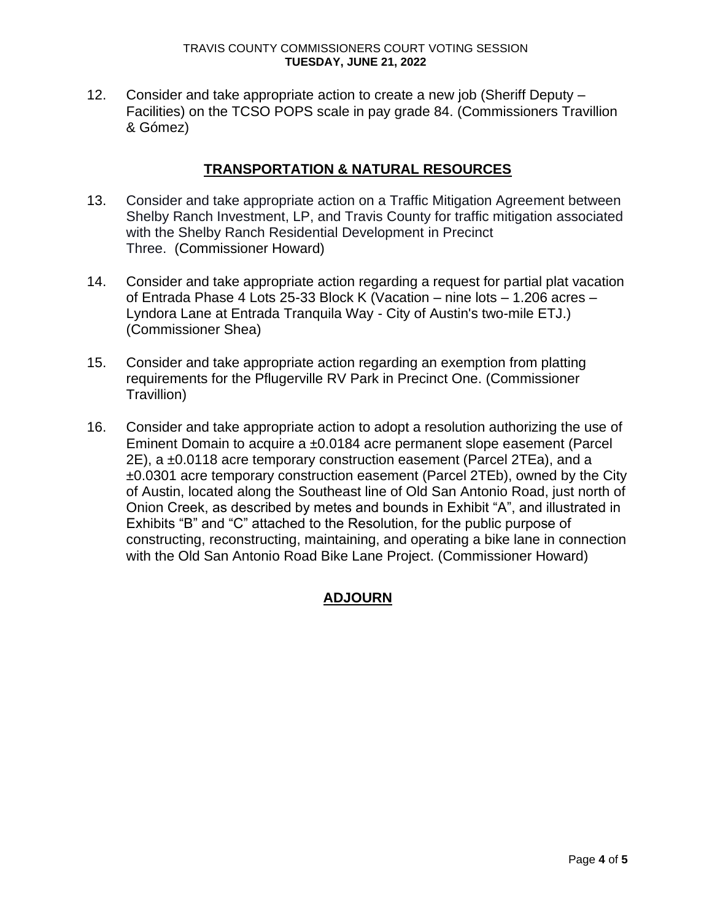#### TRAVIS COUNTY COMMISSIONERS COURT VOTING SESSION **TUESDAY, JUNE 21, 2022**

12. Consider and take appropriate action to create a new job (Sheriff Deputy – Facilities) on the TCSO POPS scale in pay grade 84. (Commissioners Travillion & Gómez)

#### **TRANSPORTATION & NATURAL RESOURCES**

- 13. Consider and take appropriate action on a Traffic Mitigation Agreement between Shelby Ranch Investment, LP, and Travis County for traffic mitigation associated with the Shelby Ranch Residential Development in Precinct Three. (Commissioner Howard)
- 14. Consider and take appropriate action regarding a request for partial plat vacation of Entrada Phase 4 Lots 25-33 Block K (Vacation – nine lots – 1.206 acres – Lyndora Lane at Entrada Tranquila Way - City of Austin's two-mile ETJ.) (Commissioner Shea)
- 15. Consider and take appropriate action regarding an exemption from platting requirements for the Pflugerville RV Park in Precinct One. (Commissioner Travillion)
- 16. Consider and take appropriate action to adopt a resolution authorizing the use of Eminent Domain to acquire a ±0.0184 acre permanent slope easement (Parcel 2E), a ±0.0118 acre temporary construction easement (Parcel 2TEa), and a ±0.0301 acre temporary construction easement (Parcel 2TEb), owned by the City of Austin, located along the Southeast line of Old San Antonio Road, just north of Onion Creek, as described by metes and bounds in Exhibit "A", and illustrated in Exhibits "B" and "C" attached to the Resolution, for the public purpose of constructing, reconstructing, maintaining, and operating a bike lane in connection with the Old San Antonio Road Bike Lane Project. (Commissioner Howard)

## **ADJOURN**